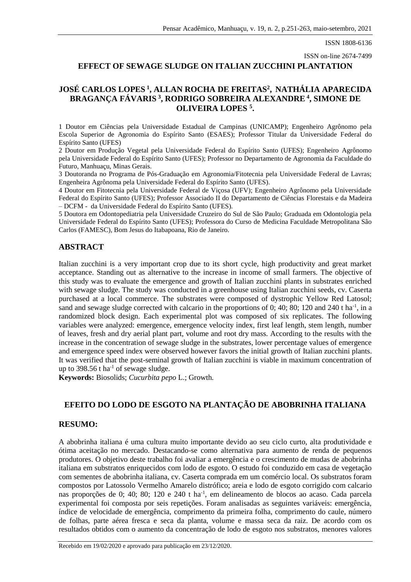ISSN 1808-6136

ISSN on-line 2674-7499

# **EFFECT OF SEWAGE SLUDGE ON ITALIAN ZUCCHINI PLANTATION**

# **JOSÉ CARLOS LOPES <sup>1</sup> , ALLAN ROCHA DE FREITAS<sup>2</sup> , NATHÁLIA APARECIDA BRAGANÇA FÁVARIS <sup>3</sup> , RODRIGO SOBREIRA ALEXANDRE <sup>4</sup> , SIMONE DE OLIVEIRA LOPES <sup>5</sup> .**

1 Doutor em Ciências pela Universidade Estadual de Campinas (UNICAMP); Engenheiro Agrônomo pela Escola Superior de Agronomia do Espírito Santo (ESAES); Professor Titular da Universidade Federal do Espírito Santo (UFES)

2 Doutor em Produção Vegetal pela Universidade Federal do Espírito Santo (UFES); Engenheiro Agrônomo pela Universidade Federal do Espírito Santo (UFES); Professor no Departamento de Agronomia da Faculdade do Futuro, Manhuaçu, Minas Gerais.

3 Doutoranda no Programa de Pós-Graduação em Agronomia/Fitotecnia pela Universidade Federal de Lavras; Engenheira Agrônoma pela Universidade Federal do Espírito Santo (UFES).

4 Doutor em Fitotecnia pela Universidade Federal de Viçosa (UFV); Engenheiro Agrônomo pela Universidade Federal do Espírito Santo (UFES); Professor Associado II do Departamento de Ciências Florestais e da Madeira – DCFM - da Universidade Federal do Espírito Santo (UFES).

5 Doutora em Odontopediatria pela Universidade Cruzeiro do Sul de São Paulo; Graduada em Odontologia pela Universidade Federal do Espírito Santo (UFES); Professora do Curso de Medicina Faculdade Metropolitana São Carlos (FAMESC), Bom Jesus do Itabapoana, Rio de Janeiro.

### **ABSTRACT**

Italian zucchini is a very important crop due to its short cycle, high productivity and great market acceptance. Standing out as alternative to the increase in income of small farmers. The objective of this study was to evaluate the emergence and growth of Italian zucchini plants in substrates enriched with sewage sludge. The study was conducted in a greenhouse using Italian zucchini seeds, cv. Caserta purchased at a local commerce. The substrates were composed of dystrophic Yellow Red Latosol; sand and sewage sludge corrected with calcario in the proportions of 0; 40; 80; 120 and 240 t ha<sup>-1</sup>, in a randomized block design. Each experimental plot was composed of six replicates. The following variables were analyzed: emergence, emergence velocity index, first leaf length, stem length, number of leaves, fresh and dry aerial plant part, volume and root dry mass. According to the results with the increase in the concentration of sewage sludge in the substrates, lower percentage values of emergence and emergence speed index were observed however favors the initial growth of Italian zucchini plants. It was verified that the post-seminal growth of Italian zucchini is viable in maximum concentration of up to 398.56 t ha<sup>-1</sup> of sewage sludge.

**Keywords:** Biosolids; *Cucurbita pepo* L.; Growth.

# **EFEITO DO LODO DE ESGOTO NA PLANTAÇÃO DE ABOBRINHA ITALIANA**

#### **RESUMO:**

A abobrinha italiana é uma cultura muito importante devido ao seu ciclo curto, alta produtividade e ótima aceitação no mercado. Destacando-se como alternativa para aumento de renda de pequenos produtores. O objetivo deste trabalho foi avaliar a emergência e o crescimento de mudas de abobrinha italiana em substratos enriquecidos com lodo de esgoto. O estudo foi conduzido em casa de vegetação com sementes de abobrinha italiana, cv. Caserta comprada em um comércio local. Os substratos foram compostos por Latossolo Vermelho Amarelo distrófico; areia e lodo de esgoto corrigido com calcario nas proporções de 0; 40; 80; 120 e 240 t ha<sup>-1</sup>, em delineamento de blocos ao acaso. Cada parcela experimental foi composta por seis repetições. Foram analisadas as seguintes variáveis: emergência, índice de velocidade de emergência, comprimento da primeira folha, comprimento do caule, número de folhas, parte aérea fresca e seca da planta, volume e massa seca da raiz. De acordo com os resultados obtidos com o aumento da concentração de lodo de esgoto nos substratos, menores valores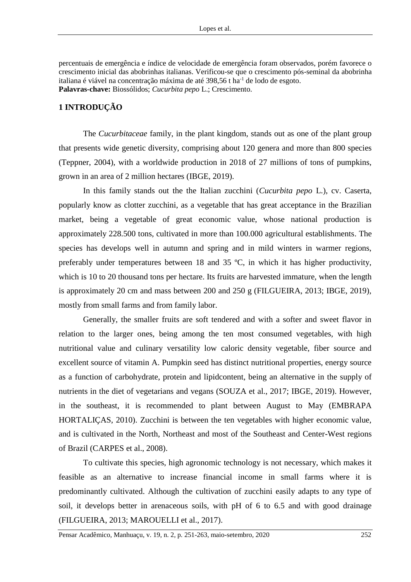percentuais de emergência e índice de velocidade de emergência foram observados, porém favorece o crescimento inicial das abobrinhas italianas. Verificou-se que o crescimento pós-seminal da abobrinha italiana é viável na concentração máxima de até 398,56 t ha<sup>-1</sup> de lodo de esgoto. **Palavras-chave:** Biossólidos; *Cucurbita pepo* L.; Crescimento.

# **1 INTRODUÇÃO**

The *Cucurbitaceae* family, in the plant kingdom, stands out as one of the plant group that presents wide genetic diversity, comprising about 120 genera and more than 800 species (Teppner, 2004), with a worldwide production in 2018 of 27 millions of tons of pumpkins, grown in an area of 2 million hectares (IBGE, 2019).

In this family stands out the the Italian zucchini (*Cucurbita pepo* L.), cv. Caserta, popularly know as clotter zucchini, as a vegetable that has great acceptance in the Brazilian market, being a vegetable of great economic value, whose national production is approximately 228.500 tons, cultivated in more than 100.000 agricultural establishments. The species has develops well in autumn and spring and in mild winters in warmer regions, preferably under temperatures between 18 and 35 ºC, in which it has higher productivity, which is 10 to 20 thousand tons per hectare. Its fruits are harvested immature, when the length is approximately 20 cm and mass between 200 and 250 g (FILGUEIRA, 2013; IBGE, 2019), mostly from small farms and from family labor.

Generally, the smaller fruits are soft tendered and with a softer and sweet flavor in relation to the larger ones, being among the ten most consumed vegetables, with high nutritional value and culinary versatility low caloric density vegetable, fiber source and excellent source of vitamin A. Pumpkin seed has distinct nutritional properties, energy source as a function of carbohydrate, protein and lipidcontent, being an alternative in the supply of nutrients in the diet of vegetarians and vegans (SOUZA et al., 2017; IBGE, 2019). However, in the southeast, it is recommended to plant between August to May (EMBRAPA HORTALIÇAS, 2010). Zucchini is between the ten vegetables with higher economic value, and is cultivated in the North, Northeast and most of the Southeast and Center-West regions of Brazil (CARPES et al., 2008).

To cultivate this species, high agronomic technology is not necessary, which makes it feasible as an alternative to increase financial income in small farms where it is predominantly cultivated. Although the cultivation of zucchini easily adapts to any type of soil, it develops better in arenaceous soils, with pH of 6 to 6.5 and with good drainage (FILGUEIRA, 2013; MAROUELLI et al., 2017).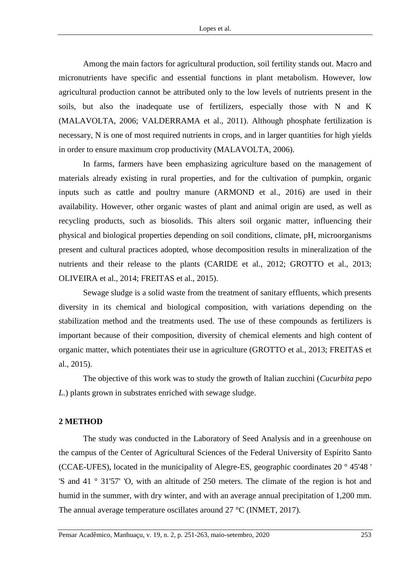Among the main factors for agricultural production, soil fertility stands out. Macro and micronutrients have specific and essential functions in plant metabolism. However, low agricultural production cannot be attributed only to the low levels of nutrients present in the soils, but also the inadequate use of fertilizers, especially those with N and K (MALAVOLTA, 2006; VALDERRAMA et al., 2011). Although phosphate fertilization is necessary, N is one of most required nutrients in crops, and in larger quantities for high yields in order to ensure maximum crop productivity (MALAVOLTA, 2006).

In farms, farmers have been emphasizing agriculture based on the management of materials already existing in rural properties, and for the cultivation of pumpkin, organic inputs such as cattle and poultry manure (ARMOND et al., 2016) are used in their availability. However, other organic wastes of plant and animal origin are used, as well as recycling products, such as biosolids. This alters soil organic matter, influencing their physical and biological properties depending on soil conditions, climate, pH, microorganisms present and cultural practices adopted, whose decomposition results in mineralization of the nutrients and their release to the plants (CARIDE et al., 2012; GROTTO et al., 2013; OLIVEIRA et al., 2014; FREITAS et al., 2015).

Sewage sludge is a solid waste from the treatment of sanitary effluents, which presents diversity in its chemical and biological composition, with variations depending on the stabilization method and the treatments used. The use of these compounds as fertilizers is important because of their composition, diversity of chemical elements and high content of organic matter, which potentiates their use in agriculture (GROTTO et al., 2013; FREITAS et al., 2015).

The objective of this work was to study the growth of Italian zucchini (*Cucurbita pepo L.*) plants grown in substrates enriched with sewage sludge.

## **2 METHOD**

The study was conducted in the Laboratory of Seed Analysis and in a greenhouse on the campus of the Center of Agricultural Sciences of the Federal University of Espírito Santo (CCAE-UFES), located in the municipality of Alegre*-*ES, geographic coordinates 20 ° 45'48 ' 'S and 41 ° 31'57' 'O, with an altitude of 250 meters. The climate of the region is hot and humid in the summer, with dry winter, and with an average annual precipitation of 1,200 mm. The annual average temperature oscillates around 27 °C (INMET, 2017).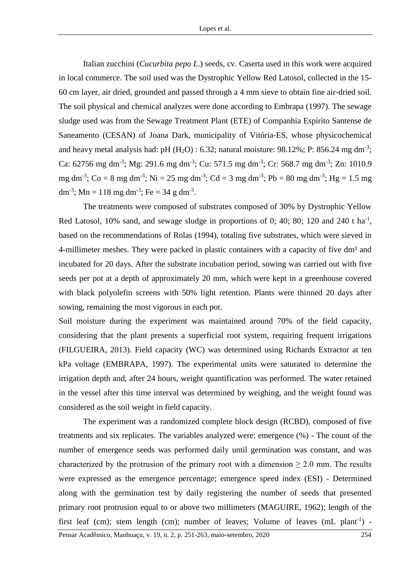Italian zucchini (*Cucurbita pepo L*.) seeds, cv. Caserta used in this work were acquired in local commerce. The soil used was the Dystrophic Yellow Red Latosol, collected in the 15- 60 cm layer, air dried, grounded and passed through a 4 mm sieve to obtain fine air-dried soil. The soil physical and chemical analyzes were done according to Embrapa (1997). The sewage sludge used was from the Sewage Treatment Plant (ETE) of Companhia Espírito Santense de Saneamento (CESAN) of Joana Dark, municipality of Vitória-ES, whose physicochemical and heavy metal analysis had: pH  $(H_2O)$ : 6.32; natural moisture: 98.12%; P: 856.24 mg dm<sup>-3</sup>; Ca: 62756 mg dm<sup>-3</sup>; Mg: 291.6 mg dm<sup>-3</sup>; Cu: 571.5 mg dm<sup>-3</sup>; Cr: 568.7 mg dm<sup>-3</sup>; Zn: 1010.9 mg dm<sup>-3</sup>; Co = 8 mg dm<sup>-3</sup>; Ni = 25 mg dm<sup>-3</sup>; Cd = 3 mg dm<sup>-3</sup>; Pb = 80 mg dm<sup>-3</sup>; Hg = 1.5 mg dm<sup>-3</sup>; Mn = 118 mg dm<sup>-3</sup>; Fe = 34 g dm<sup>-3</sup>.

The treatments were composed of substrates composed of 30% by Dystrophic Yellow Red Latosol, 10% sand, and sewage sludge in proportions of 0; 40; 80; 120 and 240 t ha<sup>-1</sup>, based on the recommendations of Rolas (1994), totaling five substrates, which were sieved in 4-millimeter meshes. They were packed in plastic containers with a capacity of five dm<sup>3</sup> and incubated for 20 days. After the substrate incubation period, sowing was carried out with five seeds per pot at a depth of approximately 20 mm, which were kept in a greenhouse covered with black polyolefin screens with 50% light retention. Plants were thinned 20 days after sowing, remaining the most vigorous in each pot.

Soil moisture during the experiment was maintained around 70% of the field capacity, considering that the plant presents a superficial root system, requiring frequent irrigations (FILGUEIRA, 2013). Field capacity (WC) was determined using Richards Extractor at ten kPa voltage (EMBRAPA, 1997). The experimental units were saturated to determine the irrigation depth and, after 24 hours, weight quantification was performed. The water retained in the vessel after this time interval was determined by weighing, and the weight found was considered as the soil weight in field capacity.

The experiment was a randomized complete block design (RCBD), composed of five treatments and six replicates. The variables analyzed were: emergence (%) - The count of the number of emergence seeds was performed daily until germination was constant, and was characterized by the protrusion of the primary root with a dimension  $\geq 2.0$  mm. The results were expressed as the emergence percentage; emergence speed index (ESI) - Determined along with the germination test by daily registering the number of seeds that presented primary root protrusion equal to or above two millimeters (MAGUIRE, 1962); length of the first leaf (cm); stem length (cm); number of leaves; Volume of leaves (mL plant<sup>-1</sup>) -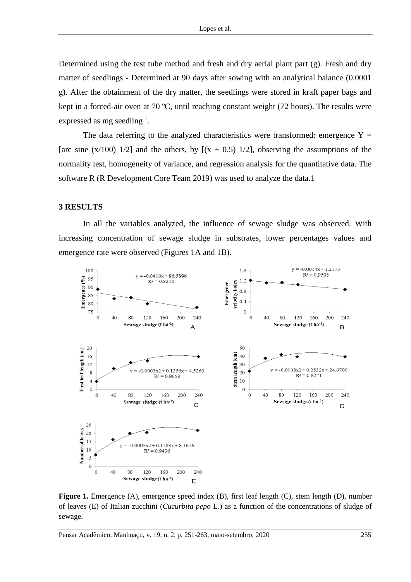Determined using the test tube method and fresh and dry aerial plant part (g). Fresh and dry matter of seedlings - Determined at 90 days after sowing with an analytical balance (0.0001 g). After the obtainment of the dry matter, the seedlings were stored in kraft paper bags and kept in a forced-air oven at 70 ºC, until reaching constant weight (72 hours). The results were expressed as mg seedling<sup>-1</sup>.

The data referring to the analyzed characteristics were transformed: emergence  $Y =$ [arc sine  $(x/100)$  1/2] and the others, by  $[(x + 0.5)$  1/2], observing the assumptions of the normality test, homogeneity of variance, and regression analysis for the quantitative data. The software R (R Development Core Team 2019) was used to analyze the data.1

#### **3 RESULTS**

In all the variables analyzed, the influence of sewage sludge was observed. With increasing concentration of sewage sludge in substrates, lower percentages values and emergence rate were observed (Figures 1A and 1B).



**Figure 1.** Emergence (A), emergence speed index (B), first leaf length (C), stem length (D), number of leaves (E) of Italian zucchini (*Cucurbita pepo* L.) as a function of the concentrations of sludge of sewage.

Pensar Acadêmico, Manhuaçu, v. 19, n. 2, p. 251-263, maio-setembro, 2020 255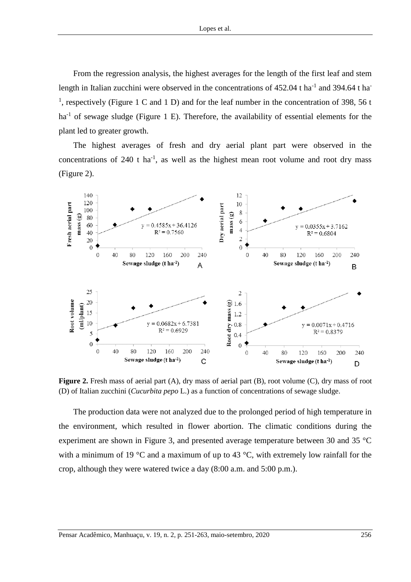From the regression analysis, the highest averages for the length of the first leaf and stem length in Italian zucchini were observed in the concentrations of  $452.04$  t ha<sup>-1</sup> and  $394.64$  t ha<sup>-1</sup> <sup>1</sup>, respectively (Figure 1 C and 1 D) and for the leaf number in the concentration of 398, 56 t ha<sup>-1</sup> of sewage sludge (Figure 1 E). Therefore, the availability of essential elements for the plant led to greater growth.

The highest averages of fresh and dry aerial plant part were observed in the concentrations of  $240$  t ha<sup>-1</sup>, as well as the highest mean root volume and root dry mass (Figure 2).



**Figure 2.** Fresh mass of aerial part (A), dry mass of aerial part (B), root volume (C), dry mass of root (D) of Italian zucchini (*Cucurbita pepo* L.) as a function of concentrations of sewage sludge.

The production data were not analyzed due to the prolonged period of high temperature in the environment, which resulted in flower abortion. The climatic conditions during the experiment are shown in Figure 3, and presented average temperature between 30 and 35 °C with a minimum of 19  $^{\circ}$ C and a maximum of up to 43  $^{\circ}$ C, with extremely low rainfall for the crop, although they were watered twice a day (8:00 a.m. and 5:00 p.m.).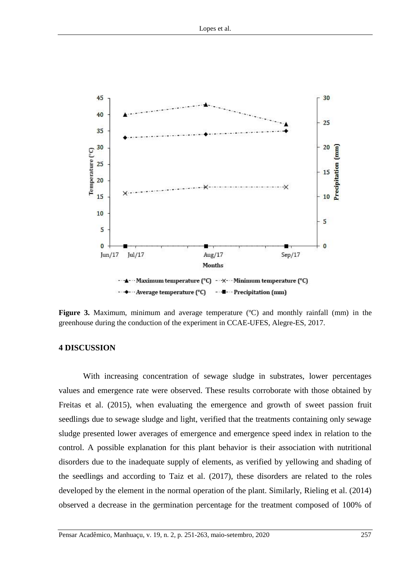

Figure 3. Maximum, minimum and average temperature (°C) and monthly rainfall (mm) in the greenhouse during the conduction of the experiment in CCAE-UFES, Alegre-ES, 2017.

### **4 DISCUSSION**

With increasing concentration of sewage sludge in substrates, lower percentages values and emergence rate were observed. These results corroborate with those obtained by Freitas et al. (2015), when evaluating the emergence and growth of sweet passion fruit seedlings due to sewage sludge and light, verified that the treatments containing only sewage sludge presented lower averages of emergence and emergence speed index in relation to the control. A possible explanation for this plant behavior is their association with nutritional disorders due to the inadequate supply of elements, as verified by yellowing and shading of the seedlings and according to Taiz et al. (2017), these disorders are related to the roles developed by the element in the normal operation of the plant. Similarly, Rieling et al. (2014) observed a decrease in the germination percentage for the treatment composed of 100% of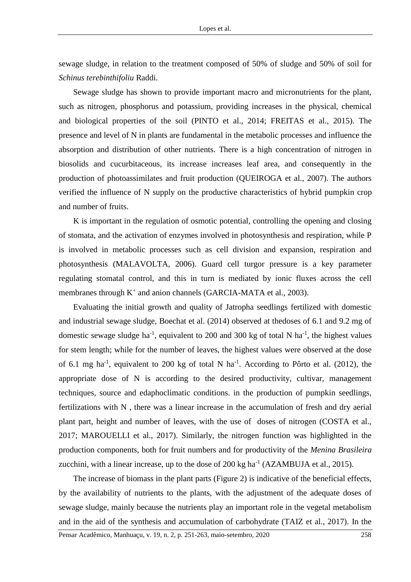sewage sludge, in relation to the treatment composed of 50% of sludge and 50% of soil for *Schinus terebinthifoliu* Raddi.

Sewage sludge has shown to provide important macro and micronutrients for the plant, such as nitrogen, phosphorus and potassium, providing increases in the physical, chemical and biological properties of the soil (PINTO et al., 2014; FREITAS et al., 2015). The presence and level of N in plants are fundamental in the metabolic processes and influence the absorption and distribution of other nutrients. There is a high concentration of nitrogen in biosolids and cucurbitaceous, its increase increases leaf area, and consequently in the production of photoassimilates and fruit production (QUEIROGA et al., 2007). The authors verified the influence of N supply on the productive characteristics of hybrid pumpkin crop and number of fruits.

K is important in the regulation of osmotic potential, controlling the opening and closing of stomata, and the activation of enzymes involved in photosynthesis and respiration, while P is involved in metabolic processes such as cell division and expansion, respiration and photosynthesis (MALAVOLTA, 2006). Guard cell turgor pressure is a key parameter regulating stomatal control, and this in turn is mediated by ionic fluxes across the cell membranes through K<sup>+</sup> and anion channels (GARCIA-MATA et al., 2003).

Evaluating the initial growth and quality of Jatropha seedlings fertilized with domestic and industrial sewage sludge, Boechat et al. (2014) observed at thedoses of 6.1 and 9.2 mg of domestic sewage sludge ha<sup>-1</sup>, equivalent to 200 and 300 kg of total N ha<sup>-1</sup>, the highest values for stem length; while for the number of leaves, the highest values were observed at the dose of 6.1 mg ha<sup>-1</sup>, equivalent to 200 kg of total N ha<sup>-1</sup>. According to Pôrto et al. (2012), the appropriate dose of N is according to the desired productivity, cultivar, management techniques, source and edaphoclimatic conditions. in the production of pumpkin seedlings, fertilizations with N , there was a linear increase in the accumulation of fresh and dry aerial plant part, height and number of leaves, with the use of doses of nitrogen (COSTA et al., 2017; MAROUELLI et al., 2017). Similarly, the nitrogen function was highlighted in the production components, both for fruit numbers and for productivity of the *Menina Brasileira* zucchini, with a linear increase, up to the dose of  $200 \text{ kg}$  ha<sup>-1</sup> (AZAMBUJA et al., 2015).

The increase of biomass in the plant parts (Figure 2) is indicative of the beneficial effects, by the availability of nutrients to the plants, with the adjustment of the adequate doses of sewage sludge, mainly because the nutrients play an important role in the vegetal metabolism and in the aid of the synthesis and accumulation of carbohydrate (TAIZ et al., 2017). In the

Pensar Acadêmico, Manhuaçu, v. 19, n. 2, p. 251-263, maio-setembro, 2020 258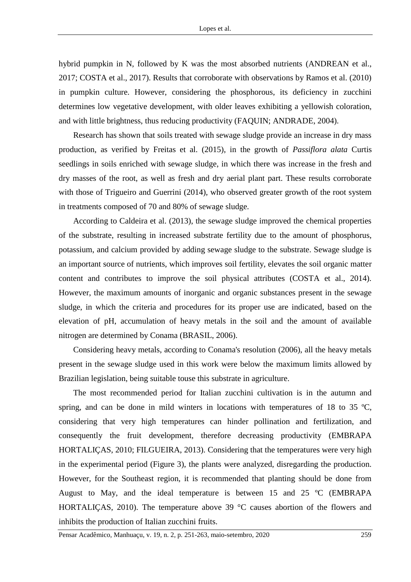hybrid pumpkin in N, followed by K was the most absorbed nutrients (ANDREAN et al., 2017; COSTA et al., 2017). Results that corroborate with observations by Ramos et al. (2010) in pumpkin culture. However, considering the phosphorous, its deficiency in zucchini determines low vegetative development, with older leaves exhibiting a yellowish coloration, and with little brightness, thus reducing productivity (FAQUIN; ANDRADE, 2004).

Research has shown that soils treated with sewage sludge provide an increase in dry mass production, as verified by Freitas et al. (2015), in the growth of *Passiflora alata* Curtis seedlings in soils enriched with sewage sludge, in which there was increase in the fresh and dry masses of the root, as well as fresh and dry aerial plant part. These results corroborate with those of Trigueiro and Guerrini (2014), who observed greater growth of the root system in treatments composed of 70 and 80% of sewage sludge.

According to Caldeira et al. (2013), the sewage sludge improved the chemical properties of the substrate, resulting in increased substrate fertility due to the amount of phosphorus, potassium, and calcium provided by adding sewage sludge to the substrate. Sewage sludge is an important source of nutrients, which improves soil fertility, elevates the soil organic matter content and contributes to improve the soil physical attributes (COSTA et al., 2014). However, the maximum amounts of inorganic and organic substances present in the sewage sludge, in which the criteria and procedures for its proper use are indicated, based on the elevation of pH, accumulation of heavy metals in the soil and the amount of available nitrogen are determined by Conama (BRASIL, 2006).

Considering heavy metals, according to Conama's resolution (2006), all the heavy metals present in the sewage sludge used in this work were below the maximum limits allowed by Brazilian legislation, being suitable touse this substrate in agriculture.

The most recommended period for Italian zucchini cultivation is in the autumn and spring, and can be done in mild winters in locations with temperatures of 18 to 35  $^{\circ}$ C, considering that very high temperatures can hinder pollination and fertilization, and consequently the fruit development, therefore decreasing productivity (EMBRAPA HORTALIÇAS, 2010; FILGUEIRA, 2013). Considering that the temperatures were very high in the experimental period (Figure 3), the plants were analyzed, disregarding the production. However, for the Southeast region, it is recommended that planting should be done from August to May, and the ideal temperature is between 15 and 25 ºC (EMBRAPA HORTALIÇAS, 2010). The temperature above 39 °C causes abortion of the flowers and inhibits the production of Italian zucchini fruits.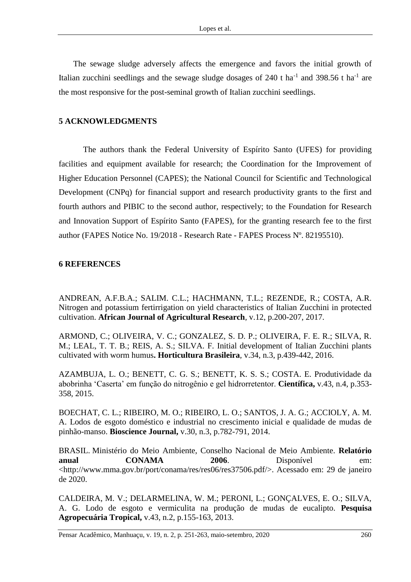The sewage sludge adversely affects the emergence and favors the initial growth of Italian zucchini seedlings and the sewage sludge dosages of  $240$  t ha<sup>-1</sup> and  $398.56$  t ha<sup>-1</sup> are the most responsive for the post-seminal growth of Italian zucchini seedlings.

#### **5 ACKNOWLEDGMENTS**

The authors thank the Federal University of Espírito Santo (UFES) for providing facilities and equipment available for research; the Coordination for the Improvement of Higher Education Personnel (CAPES); the National Council for Scientific and Technological Development (CNPq) for financial support and research productivity grants to the first and fourth authors and PIBIC to the second author, respectively; to the Foundation for Research and Innovation Support of Espírito Santo (FAPES), for the granting research fee to the first author (FAPES Notice No. 19/2018 - Research Rate - FAPES Process Nº. 82195510).

### **6 REFERENCES**

ANDREAN, A.F.B.A.; SALIM. C.L.; HACHMANN, T.L.; REZENDE, R.; COSTA, A.R. Nitrogen and potassium fertirrigation on yield characteristics of Italian Zucchini in protected cultivation. **African Journal of Agricultural Research**, v.12, p.200-207, 2017.

ARMOND, C.; OLIVEIRA, V. C.; GONZALEZ, S. D. P.; OLIVEIRA, F. E. R.; SILVA, R. M.; LEAL, T. T. B.; REIS, A. S.; SILVA. F. Initial development of Italian Zucchini plants cultivated with worm humus**. Horticultura Brasileira**, v.34, n.3, p.439-442, 2016.

AZAMBUJA, L. O.; BENETT, C. G. S.; BENETT, K. S. S.; COSTA. E. Produtividade da abobrinha 'Caserta' em função do nitrogênio e gel hidrorretentor. **Científica,** v.43, n.4, p.353- 358, 2015.

BOECHAT, C. L.; RIBEIRO, M. O.; RIBEIRO, L. O.; SANTOS, J. A. G.; ACCIOLY, A. M. A. Lodos de esgoto doméstico e industrial no crescimento inicial e qualidade de mudas de pinhão-manso. **Bioscience Journal,** v.30, n.3, p.782-791, 2014.

BRASIL. Ministério do Meio Ambiente, Conselho Nacional de Meio Ambiente. **Relatório anual CONAMA 2006**. Disponível em: <http://www.mma.gov.br/port/conama/res/res06/res37506.pdf/>. Acessado em: 29 de janeiro de 2020.

CALDEIRA, M. V.; DELARMELINA, W. M.; PERONI, L.; GONÇALVES, E. O.; SILVA, A. G. Lodo de esgoto e vermiculita na produção de mudas de eucalipto. **Pesquisa Agropecuária Tropical,** v.43, n.2, p.155-163, 2013.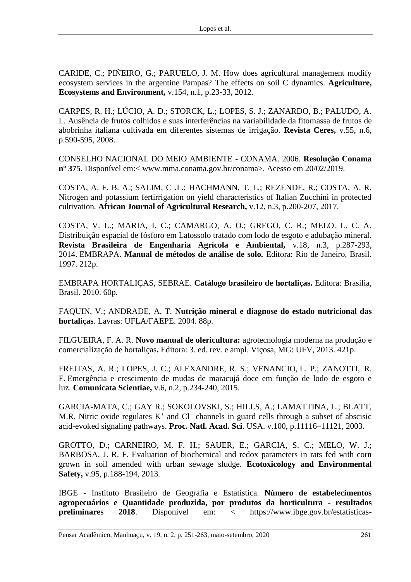CARIDE, C.; PIÑEIRO, G.; PARUELO, J. M. How does agricultural management modify ecosystem services in the argentine Pampas? The effects on soil C dynamics. **Agriculture, Ecosystems and Environment,** v.154, n.1, p.23-33, 2012.

CARPES, R. H.; LÚCIO, A. D.; STORCK, L.; LOPES, S. J.; ZANARDO, B.; PALUDO, A. L. Ausência de frutos colhidos e suas interferências na variabilidade da fitomassa de frutos de abobrinha italiana cultivada em diferentes sistemas de irrigação. **Revista Ceres,** v.55, n.6, p.590-595, 2008.

CONSELHO NACIONAL DO MEIO AMBIENTE - CONAMA. 2006. **Resolução Conama nº 375**. Disponível em:< www.mma.conama.gov.br/conama>. Acesso em 20/02/2019.

COSTA, A. F. B. A.; SALIM, C .L.; HACHMANN, T. L.; REZENDE, R.; COSTA, A. R. Nitrogen and potassium fertirrigation on yield characteristics of Italian Zucchini in protected cultivation*.* **African Journal of Agricultural Research,** v.12, n.3, p.200-207, 2017.

COSTA, V. L.; MARIA, I. C.; CAMARGO, A. O.; GREGO, C. R.; MELO. L. C. A. Distribuição espacial de fósforo em Latossolo tratado com lodo de esgoto e adubação mineral. **Revista Brasileira de Engenharia Agrícola e Ambiental,** v.18, n.3, p.287-293, 2014. EMBRAPA. **Manual de métodos de análise de solo***.* Editora: Rio de Janeiro, Brasil. 1997. 212p.

EMBRAPA HORTALIÇAS, SEBRAE. **Catálogo brasileiro de hortaliças.** Editora: Brasília, Brasil. 2010. 60p.

FAQUIN, V.; ANDRADE, A. T. **Nutrição mineral e diagnose do estado nutricional das hortaliças**. Lavras: UFLA/FAEPE. 2004. 88p.

FILGUEIRA, F. A. R. **Novo manual de olericultura:** agrotecnologia moderna na produção e comercialização de hortaliças**.** Editora: 3. ed. rev. e ampl. Viçosa, MG: UFV, 2013. 421p.

FREITAS, A. R.; LOPES, J. C.; ALEXANDRE, R. S.; VENANCIO, L. P.; ZANOTTI, R. F. Emergência e crescimento de mudas de maracujá doce em função de lodo de esgoto e luz. **Comunicata Scientiae,** v.6, n.2, p.234-240, 2015.

GARCIA-MATA, C.; GAY R.; SOKOLOVSKI, S.; HILLS, A.; LAMATTINA, L.; BLATT, M.R. Nitric oxide regulates K<sup>+</sup> and Cl<sup>−</sup> channels in guard cells through a subset of abscisic acid-evoked signaling pathways. **Proc. Natl. Acad. Sci**. USA. v.100, p.11116–11121, 2003.

GROTTO, D.; CARNEIRO, M. F. H.; SAUER, E.; GARCIA, S. C.; MELO, W. J.; BARBOSA, J. R. F. Evaluation of biochemical and redox parameters in rats fed with corn grown in soil amended with urban sewage sludge. **Ecotoxicology and Environmental Safety,** v.95, p.188-194, 2013.

IBGE - Instituto Brasileiro de Geografia e Estatística. **Número de estabelecimentos agropecuários e Quantidade produzida, por produtos da horticultura - resultados preliminares 2018.** Disponível em: < https://www.ibge.gov.br/estatisticas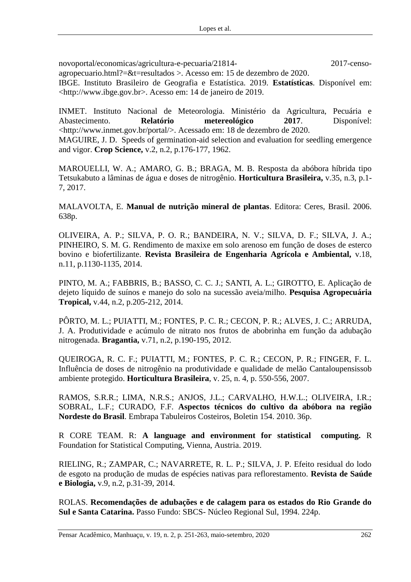novoportal/economicas/agricultura-e-pecuaria/21814- 2017-censoagropecuario.html?=&t=resultados >. Acesso em: 15 de dezembro de 2020. IBGE. Instituto Brasileiro de Geografia e Estatística. 2019. **Estatísticas**. Disponível em: <http://www.ibge.gov.br>. Acesso em: 14 de janeiro de 2019.

INMET. Instituto Nacional de Meteorologia. Ministério da Agricultura, Pecuária e Abastecimento. **Relatório metereológico 2017**. Disponível: <http://www.inmet.gov.br/portal/>. Acessado em: 18 de dezembro de 2020. MAGUIRE, J. D. Speeds of germination-aid selection and evaluation for seedling emergence and vigor. **Crop Science,** v.2, n.2, p.176-177, 1962.

MAROUELLI, W. A.; AMARO, G. B.; BRAGA, M. B. Resposta da abóbora híbrida tipo Tetsukabuto a lâminas de água e doses de nitrogênio. **Horticultura Brasileira,** v.35, n.3, p.1- 7, 2017.

MALAVOLTA, E. **Manual de nutrição mineral de plantas**. Editora: Ceres, Brasil. 2006. 638p.

OLIVEIRA, A. P.; SILVA, P. O. R.; BANDEIRA, N. V.; SILVA, D. F.; SILVA, J. A.; PINHEIRO, S. M. G. Rendimento de maxixe em solo arenoso em função de doses de esterco bovino e biofertilizante. **Revista Brasileira de Engenharia Agrícola e Ambiental,** v.18, n.11, p.1130-1135, 2014.

PINTO, M. A.; FABBRIS, B.; BASSO, C. C. J.; SANTI, A. L.; GIROTTO, E. Aplicação de dejeto líquido de suínos e manejo do solo na sucessão aveia/milho. **Pesquisa Agropecuária Tropical,** v.44, n.2, p.205-212, 2014.

PÔRTO, M. L.; PUIATTI, M.; FONTES, P. C. R.; CECON, P. R.; ALVES, J. C.; ARRUDA, J. A. Produtividade e acúmulo de nitrato nos frutos de abobrinha em função da adubação nitrogenada. **Bragantia,** v.71, n.2, p.190-195, 2012.

QUEIROGA, R. C. F.; PUIATTI, M.; FONTES, P. C. R.; CECON, P. R.; FINGER, F. L. Influência de doses de nitrogênio na produtividade e qualidade de melão Cantaloupensissob ambiente protegido. **Horticultura Brasileira**, v. 25, n. 4, p. 550-556, 2007.

RAMOS, S.R.R.; LIMA, N.R.S.; ANJOS, J.L.; CARVALHO, H.W.L.; OLIVEIRA, I.R.; SOBRAL, L.F.; CURADO, F.F. **Aspectos técnicos do cultivo da abóbora na região Nordeste do Brasil**. Embrapa Tabuleiros Costeiros, Boletin 154. 2010. 36p.

R CORE TEAM. R: **A language and environment for statistical computing.** R Foundation for Statistical Computing, Vienna, Austria. 2019.

RIELING, R.; ZAMPAR, C.; NAVARRETE, R. L. P.; SILVA, J. P. Efeito residual do lodo de esgoto na produção de mudas de espécies nativas para reflorestamento. **Revista de Saúde e Biologia,** v.9, n.2, p.31-39, 2014.

ROLAS. **Recomendações de adubações e de calagem para os estados do Rio Grande do Sul e Santa Catarina.** Passo Fundo: SBCS- Núcleo Regional Sul, 1994. 224p.